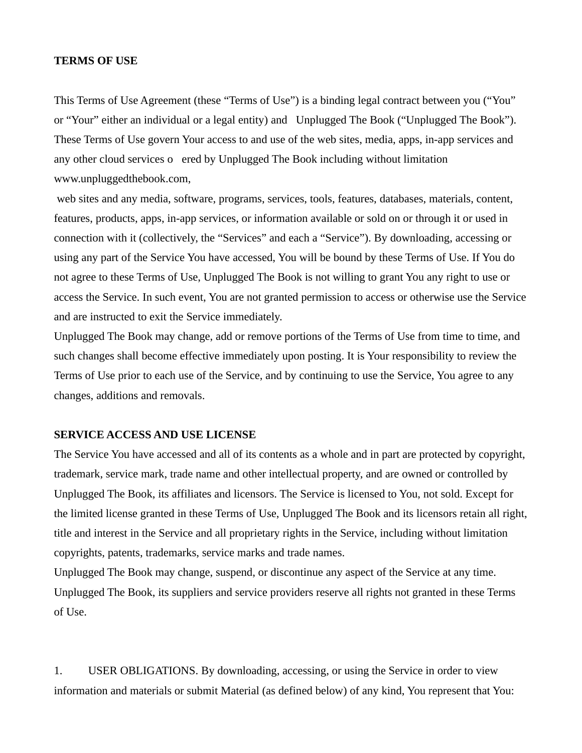#### **TERMS OF USE**

This Terms of Use Agreement (these "Terms of Use") is a binding legal contract between you ("You" or "Your" either an individual or a legal entity) and Unplugged The Book ("Unplugged The Book"). These Terms of Use govern Your access to and use of the web sites, media, apps, in-app services and any other cloud services oered by Unplugged The Book including without limitation www.unpluggedthebook.com,

 web sites and any media, software, programs, services, tools, features, databases, materials, content, features, products, apps, in-app services, or information available or sold on or through it or used in connection with it (collectively, the "Services" and each a "Service"). By downloading, accessing or using any part of the Service You have accessed, You will be bound by these Terms of Use. If You do not agree to these Terms of Use, Unplugged The Book is not willing to grant You any right to use or access the Service. In such event, You are not granted permission to access or otherwise use the Service and are instructed to exit the Service immediately.

Unplugged The Book may change, add or remove portions of the Terms of Use from time to time, and such changes shall become effective immediately upon posting. It is Your responsibility to review the Terms of Use prior to each use of the Service, and by continuing to use the Service, You agree to any changes, additions and removals.

### **SERVICE ACCESS AND USE LICENSE**

The Service You have accessed and all of its contents as a whole and in part are protected by copyright, trademark, service mark, trade name and other intellectual property, and are owned or controlled by Unplugged The Book, its affiliates and licensors. The Service is licensed to You, not sold. Except for the limited license granted in these Terms of Use, Unplugged The Book and its licensors retain all right, title and interest in the Service and all proprietary rights in the Service, including without limitation copyrights, patents, trademarks, service marks and trade names.

Unplugged The Book may change, suspend, or discontinue any aspect of the Service at any time. Unplugged The Book, its suppliers and service providers reserve all rights not granted in these Terms of Use.

1. USER OBLIGATIONS. By downloading, accessing, or using the Service in order to view information and materials or submit Material (as defined below) of any kind, You represent that You: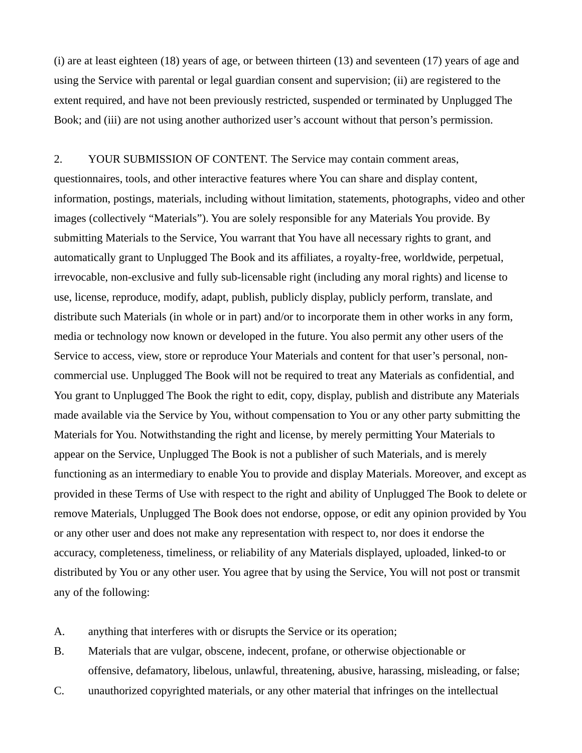(i) are at least eighteen (18) years of age, or between thirteen (13) and seventeen (17) years of age and using the Service with parental or legal guardian consent and supervision; (ii) are registered to the extent required, and have not been previously restricted, suspended or terminated by Unplugged The Book; and (iii) are not using another authorized user's account without that person's permission.

2. YOUR SUBMISSION OF CONTENT. The Service may contain comment areas, questionnaires, tools, and other interactive features where You can share and display content, information, postings, materials, including without limitation, statements, photographs, video and other images (collectively "Materials"). You are solely responsible for any Materials You provide. By submitting Materials to the Service, You warrant that You have all necessary rights to grant, and automatically grant to Unplugged The Book and its affiliates, a royalty-free, worldwide, perpetual, irrevocable, non-exclusive and fully sub-licensable right (including any moral rights) and license to use, license, reproduce, modify, adapt, publish, publicly display, publicly perform, translate, and distribute such Materials (in whole or in part) and/or to incorporate them in other works in any form, media or technology now known or developed in the future. You also permit any other users of the Service to access, view, store or reproduce Your Materials and content for that user's personal, noncommercial use. Unplugged The Book will not be required to treat any Materials as confidential, and You grant to Unplugged The Book the right to edit, copy, display, publish and distribute any Materials made available via the Service by You, without compensation to You or any other party submitting the Materials for You. Notwithstanding the right and license, by merely permitting Your Materials to appear on the Service, Unplugged The Book is not a publisher of such Materials, and is merely functioning as an intermediary to enable You to provide and display Materials. Moreover, and except as provided in these Terms of Use with respect to the right and ability of Unplugged The Book to delete or remove Materials, Unplugged The Book does not endorse, oppose, or edit any opinion provided by You or any other user and does not make any representation with respect to, nor does it endorse the accuracy, completeness, timeliness, or reliability of any Materials displayed, uploaded, linked-to or distributed by You or any other user. You agree that by using the Service, You will not post or transmit any of the following:

A. anything that interferes with or disrupts the Service or its operation;

- B. Materials that are vulgar, obscene, indecent, profane, or otherwise objectionable or offensive, defamatory, libelous, unlawful, threatening, abusive, harassing, misleading, or false;
- C. unauthorized copyrighted materials, or any other material that infringes on the intellectual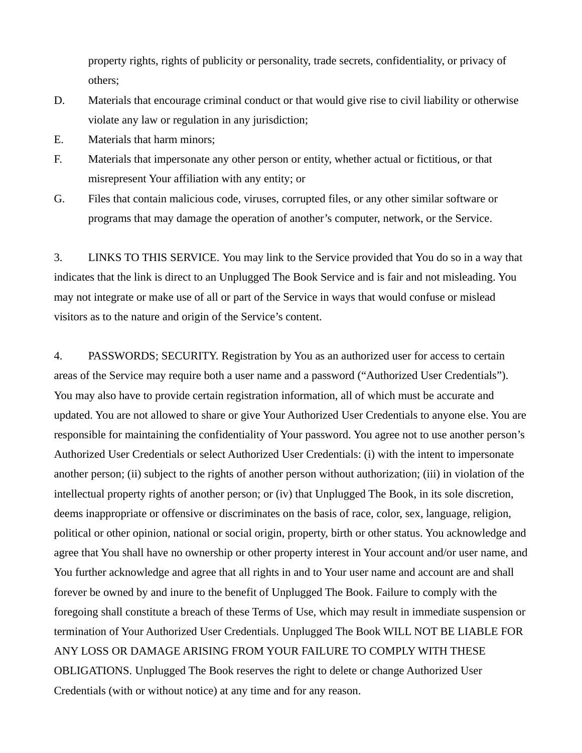property rights, rights of publicity or personality, trade secrets, confidentiality, or privacy of others;

- D. Materials that encourage criminal conduct or that would give rise to civil liability or otherwise violate any law or regulation in any jurisdiction;
- E. Materials that harm minors;
- F. Materials that impersonate any other person or entity, whether actual or fictitious, or that misrepresent Your affiliation with any entity; or
- G. Files that contain malicious code, viruses, corrupted files, or any other similar software or programs that may damage the operation of another's computer, network, or the Service.

3. LINKS TO THIS SERVICE. You may link to the Service provided that You do so in a way that indicates that the link is direct to an Unplugged The Book Service and is fair and not misleading. You may not integrate or make use of all or part of the Service in ways that would confuse or mislead visitors as to the nature and origin of the Service's content.

4. PASSWORDS; SECURITY. Registration by You as an authorized user for access to certain areas of the Service may require both a user name and a password ("Authorized User Credentials"). You may also have to provide certain registration information, all of which must be accurate and updated. You are not allowed to share or give Your Authorized User Credentials to anyone else. You are responsible for maintaining the confidentiality of Your password. You agree not to use another person's Authorized User Credentials or select Authorized User Credentials: (i) with the intent to impersonate another person; (ii) subject to the rights of another person without authorization; (iii) in violation of the intellectual property rights of another person; or (iv) that Unplugged The Book, in its sole discretion, deems inappropriate or offensive or discriminates on the basis of race, color, sex, language, religion, political or other opinion, national or social origin, property, birth or other status. You acknowledge and agree that You shall have no ownership or other property interest in Your account and/or user name, and You further acknowledge and agree that all rights in and to Your user name and account are and shall forever be owned by and inure to the benefit of Unplugged The Book. Failure to comply with the foregoing shall constitute a breach of these Terms of Use, which may result in immediate suspension or termination of Your Authorized User Credentials. Unplugged The Book WILL NOT BE LIABLE FOR ANY LOSS OR DAMAGE ARISING FROM YOUR FAILURE TO COMPLY WITH THESE OBLIGATIONS. Unplugged The Book reserves the right to delete or change Authorized User Credentials (with or without notice) at any time and for any reason.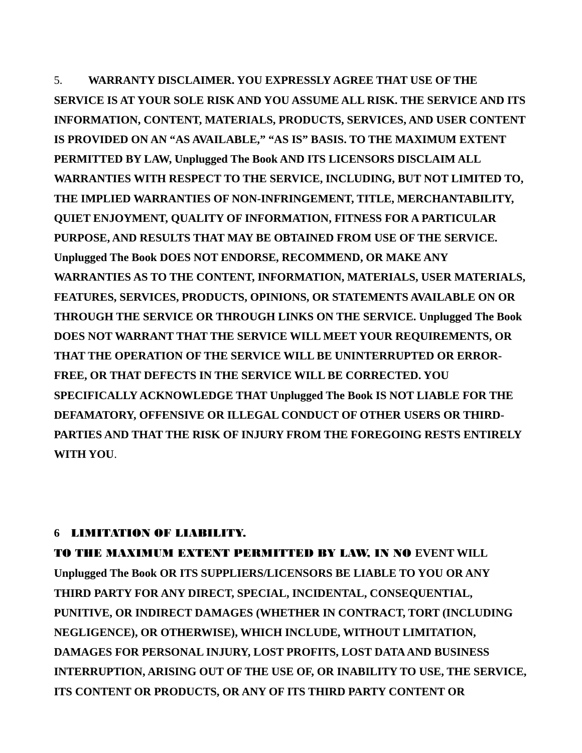5. **WARRANTY DISCLAIMER. YOU EXPRESSLY AGREE THAT USE OF THE SERVICE IS AT YOUR SOLE RISK AND YOU ASSUME ALL RISK. THE SERVICE AND ITS INFORMATION, CONTENT, MATERIALS, PRODUCTS, SERVICES, AND USER CONTENT IS PROVIDED ON AN "AS AVAILABLE," "AS IS" BASIS. TO THE MAXIMUM EXTENT PERMITTED BY LAW, Unplugged The Book AND ITS LICENSORS DISCLAIM ALL WARRANTIES WITH RESPECT TO THE SERVICE, INCLUDING, BUT NOT LIMITED TO, THE IMPLIED WARRANTIES OF NON-INFRINGEMENT, TITLE, MERCHANTABILITY, QUIET ENJOYMENT, QUALITY OF INFORMATION, FITNESS FOR A PARTICULAR PURPOSE, AND RESULTS THAT MAY BE OBTAINED FROM USE OF THE SERVICE. Unplugged The Book DOES NOT ENDORSE, RECOMMEND, OR MAKE ANY WARRANTIES AS TO THE CONTENT, INFORMATION, MATERIALS, USER MATERIALS, FEATURES, SERVICES, PRODUCTS, OPINIONS, OR STATEMENTS AVAILABLE ON OR THROUGH THE SERVICE OR THROUGH LINKS ON THE SERVICE. Unplugged The Book DOES NOT WARRANT THAT THE SERVICE WILL MEET YOUR REQUIREMENTS, OR THAT THE OPERATION OF THE SERVICE WILL BE UNINTERRUPTED OR ERROR-FREE, OR THAT DEFECTS IN THE SERVICE WILL BE CORRECTED. YOU SPECIFICALLY ACKNOWLEDGE THAT Unplugged The Book IS NOT LIABLE FOR THE DEFAMATORY, OFFENSIVE OR ILLEGAL CONDUCT OF OTHER USERS OR THIRD-PARTIES AND THAT THE RISK OF INJURY FROM THE FOREGOING RESTS ENTIRELY WITH YOU**.

## **6** LIMITATION OF LIABILITY.

TO THE MAXIMUM EXTENT PERMITTED BY LAW, IN NO **EVENT WILL Unplugged The Book OR ITS SUPPLIERS/LICENSORS BE LIABLE TO YOU OR ANY THIRD PARTY FOR ANY DIRECT, SPECIAL, INCIDENTAL, CONSEQUENTIAL, PUNITIVE, OR INDIRECT DAMAGES (WHETHER IN CONTRACT, TORT (INCLUDING NEGLIGENCE), OR OTHERWISE), WHICH INCLUDE, WITHOUT LIMITATION, DAMAGES FOR PERSONAL INJURY, LOST PROFITS, LOST DATA AND BUSINESS INTERRUPTION, ARISING OUT OF THE USE OF, OR INABILITY TO USE, THE SERVICE, ITS CONTENT OR PRODUCTS, OR ANY OF ITS THIRD PARTY CONTENT OR**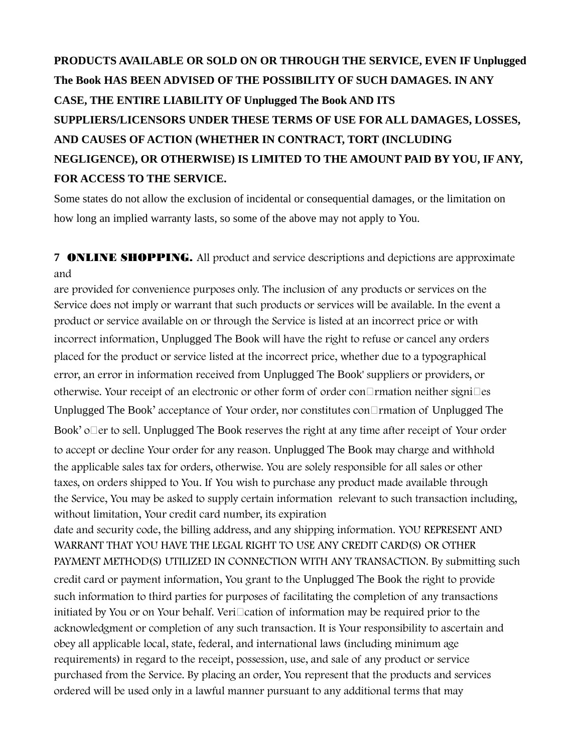# **PRODUCTS AVAILABLE OR SOLD ON OR THROUGH THE SERVICE, EVEN IF Unplugged The Book HAS BEEN ADVISED OF THE POSSIBILITY OF SUCH DAMAGES. IN ANY CASE, THE ENTIRE LIABILITY OF Unplugged The Book AND ITS SUPPLIERS/LICENSORS UNDER THESE TERMS OF USE FOR ALL DAMAGES, LOSSES, AND CAUSES OF ACTION (WHETHER IN CONTRACT, TORT (INCLUDING NEGLIGENCE), OR OTHERWISE) IS LIMITED TO THE AMOUNT PAID BY YOU, IF ANY, FOR ACCESS TO THE SERVICE.**

Some states do not allow the exclusion of incidental or consequential damages, or the limitation on how long an implied warranty lasts, so some of the above may not apply to You.

**7** ONLINE SHOPPING. All product and service descriptions and depictions are approximate and

are provided for convenience purposes only. The inclusion of any products or services on the Service does not imply or warrant that such products or services will be available. In the event a product or service available on or through the Service is listed at an incorrect price or with incorrect information, Unplugged The Book will have the right to refuse or cancel any orders placed for the product or service listed at the incorrect price, whether due to a typographical error, an error in information received from Unplugged The Book' suppliers or providers, or otherwise. Your receipt of an electronic or other form of order con $\Box$ mation neither signi $\Box$ es Unplugged The Book' acceptance of Your order, nor constitutes con $\Box$ rmation of Unplugged The Book' o $\Box$ er to sell. Unplugged The Book reserves the right at any time after receipt of Your order

to accept or decline Your order for any reason. Unplugged The Book may charge and withhold the applicable sales tax for orders, otherwise. You are solely responsible for all sales or other taxes, on orders shipped to You. If You wish to purchase any product made available through the Service, You may be asked to supply certain information relevant to such transaction including, without limitation, Your credit card number, its expiration

date and security code, the billing address, and any shipping information. YOU REPRESENT AND WARRANT THAT YOU HAVE THE LEGAL RIGHT TO USE ANY CREDIT CARD(S) OR OTHER PAYMENT METHOD(S) UTILIZED IN CONNECTION WITH ANY TRANSACTION. By submitting such credit card or payment information, You grant to the Unplugged The Book the right to provide such information to third parties for purposes of facilitating the completion of any transactions initiated by You or on Your behalf. Veri $\Box$ cation of information may be required prior to the acknowledgment or completion of any such transaction. It is Your responsibility to ascertain and obey all applicable local, state, federal, and international laws (including minimum age requirements) in regard to the receipt, possession, use, and sale of any product or service purchased from the Service. By placing an order, You represent that the products and services ordered will be used only in a lawful manner pursuant to any additional terms that may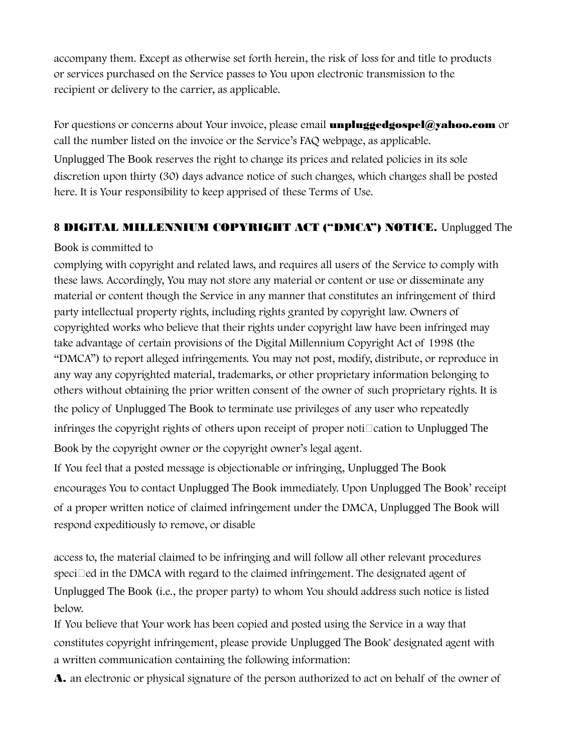accompany them. Except as otherwise set forth herein, the risk of loss for and title to products or services purchased on the Service passes to You upon electronic transmission to the recipient or delivery to the carrier, as applicable.

For questions or concerns about Your invoice, please email unpluggedgospel@yahoo.com or call the number listed on the invoice or the Service's FAQ webpage, as applicable. Unplugged The Book reserves the right to change its prices and related policies in its sole discretion upon thirty (30) days advance notice of such changes, which changes shall be posted here. It is Your responsibility to keep apprised of these Terms of Use.

## **8** DIGITAL MILLENNIUM COPYRIGHT ACT ("DMCA") NOTICE. Unplugged The

## Book is committed to

complying with copyright and related laws, and requires all users of the Service to comply with these laws. Accordingly, You may not store any material or content or use or disseminate any material or content though the Service in any manner that constitutes an infringement of third party intellectual property rights, including rights granted by copyright law. Owners of copyrighted works who believe that their rights under copyright law have been infringed may take advantage of certain provisions of the Digital Millennium Copyright Act of 1998 (the "DMCA") to report alleged infringements. You may not post, modify, distribute, or reproduce in any way any copyrighted material, trademarks, or other proprietary information belonging to others without obtaining the prior written consent of the owner of such proprietary rights. It is the policy of Unplugged The Book to terminate use privileges of any user who repeatedly infringes the copyright rights of others upon receipt of proper noti $\Box$ cation to Unplugged The Book by the copyright owner or the copyright owner's legal agent.

If You feel that a posted message is objectionable or infringing, Unplugged The Book encourages You to contact Unplugged The Book immediately. Upon Unplugged The Book' receipt of a proper written notice of claimed infringement under the DMCA, Unplugged The Book will respond expeditiously to remove, or disable

access to, the material claimed to be infringing and will follow all other relevant procedures  $speci$  and the DMCA with regard to the claimed infringement. The designated agent of Unplugged The Book (i.e., the proper party) to whom You should address such notice is listed below.

If You believe that Your work has been copied and posted using the Service in a way that constitutes copyright infringement, please provide Unplugged The Book' designated agent with a written communication containing the following information:

A. an electronic or physical signature of the person authorized to act on behalf of the owner of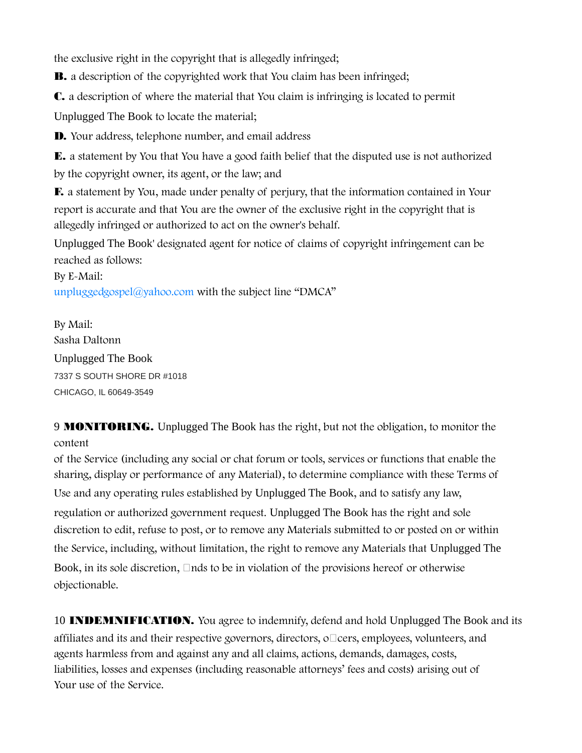the exclusive right in the copyright that is allegedly infringed;

**B.** a description of the copyrighted work that You claim has been infringed;

C. a description of where the material that You claim is infringing is located to permit

Unplugged The Book to locate the material;

D. Your address, telephone number, and email address

E. a statement by You that You have a good faith belief that the disputed use is not authorized by the copyright owner, its agent, or the law; and

F. a statement by You, made under penalty of perjury, that the information contained in Your report is accurate and that You are the owner of the exclusive right in the copyright that is allegedly infringed or authorized to act on the owner's behalf.

Unplugged The Book' designated agent for notice of claims of copyright infringement can be reached as follows:

By E-Mail: unpluggedgospel $\alpha$  yahoo.com with the subject line "DMCA"

By Mail: Sasha Daltonn Unplugged The Book 7337 S SOUTH SHORE DR #1018 CHICAGO, IL 60649-3549

9 MONITORING. Unplugged The Book has the right, but not the obligation, to monitor the content

of the Service (including any social or chat forum or tools, services or functions that enable the sharing, display or performance of any Material), to determine compliance with these Terms of Use and any operating rules established by Unplugged The Book, and to satisfy any law, regulation or authorized government request. Unplugged The Book has the right and sole discretion to edit, refuse to post, or to remove any Materials submitted to or posted on or within the Service, including, without limitation, the right to remove any Materials that Unplugged The Book, in its sole discretion,  $\Box$  nds to be in violation of the provisions hereof or otherwise objectionable.

10 **INDEMNIFICATION.** You agree to indemnify, defend and hold Unplugged The Book and its affiliates and its and their respective governors, directors,  $\circ \Box$ cers, employees, volunteers, and agents harmless from and against any and all claims, actions, demands, damages, costs, liabilities, losses and expenses (including reasonable attorneys' fees and costs) arising out of Your use of the Service.